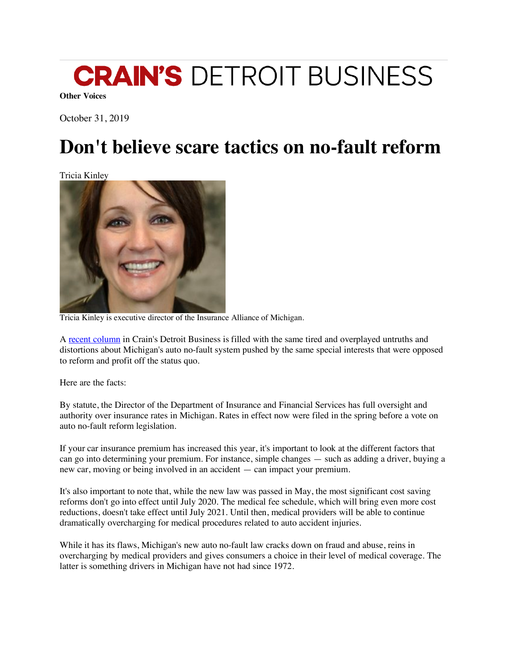

**Other Voices**

October 31, 2019

## **Don't believe scare tactics on no-fault reform**

Tricia Kinley



Tricia Kinley is executive director of the Insurance Alliance of Michigan.

A recent column in Crain's Detroit Business is filled with the same tired and overplayed untruths and distortions about Michigan's auto no-fault system pushed by the same special interests that were opposed to reform and profit off the status quo.

Here are the facts:

By statute, the Director of the Department of Insurance and Financial Services has full oversight and authority over insurance rates in Michigan. Rates in effect now were filed in the spring before a vote on auto no-fault reform legislation.

If your car insurance premium has increased this year, it's important to look at the different factors that can go into determining your premium. For instance, simple changes — such as adding a driver, buying a new car, moving or being involved in an accident — can impact your premium.

It's also important to note that, while the new law was passed in May, the most significant cost saving reforms don't go into effect until July 2020. The medical fee schedule, which will bring even more cost reductions, doesn't take effect until July 2021. Until then, medical providers will be able to continue dramatically overcharging for medical procedures related to auto accident injuries.

While it has its flaws, Michigan's new auto no-fault law cracks down on fraud and abuse, reins in overcharging by medical providers and gives consumers a choice in their level of medical coverage. The latter is something drivers in Michigan have not had since 1972.